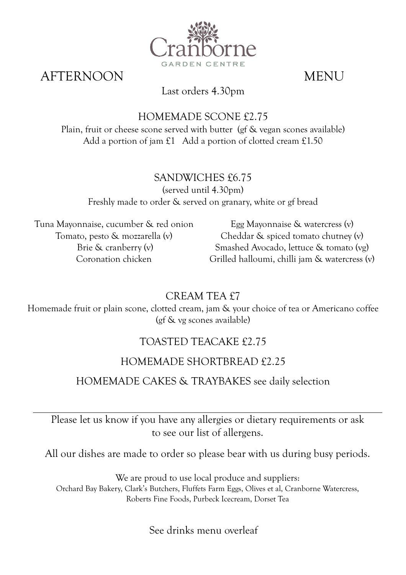

AFTERNOON MENU

### Last orders 4.30pm

## HOMEMADE SCONE £2.75

Plain, fruit or cheese scone served with butter (gf & vegan scones available) Add a portion of jam £1 Add a portion of clotted cream £1.50

# SANDWICHES £6.75

(served until 4.30pm) Freshly made to order & served on granary, white or gf bread

Tuna Mayonnaise, cucumber & red onion Tomato, pesto & mozzarella (v) Brie & cranberry (v) Coronation chicken

Egg Mayonnaise & watercress (v) Cheddar & spiced tomato chutney (v) Smashed Avocado, lettuce & tomato (vg) Grilled halloumi, chilli jam & watercress (v)

CREAM TEA £7

Homemade fruit or plain scone, clotted cream, jam & your choice of tea or Americano coffee (gf & vg scones available)

# TOASTED TEACAKE £2.75

## HOMEMADE SHORTBREAD £2.25

## HOMEMADE CAKES & TRAYBAKES see daily selection

Please let us know if you have any allergies or dietary requirements or ask to see our list of allergens.

All our dishes are made to order so please bear with us during busy periods.

We are proud to use local produce and suppliers: Orchard Bay Bakery, Clark's Butchers, Fluffets Farm Eggs, Olives et al, Cranborne Watercress, Roberts Fine Foods, Purbeck Icecream, Dorset Tea

See drinks menu overleaf